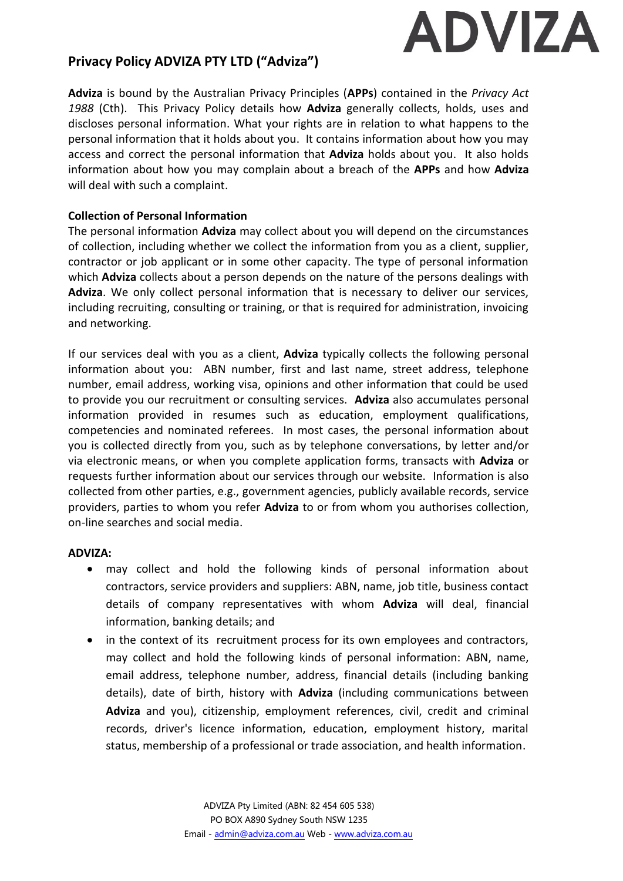

# **Privacy Policy ADVIZA PTY LTD ("Adviza")**

**Adviza** is bound by the Australian Privacy Principles (**APPs**) contained in the *Privacy Act 1988* (Cth). This Privacy Policy details how **Adviza** generally collects, holds, uses and discloses personal information. What your rights are in relation to what happens to the personal information that it holds about you. It contains information about how you may access and correct the personal information that **Adviza** holds about you. It also holds information about how you may complain about a breach of the **APPs** and how **Adviza** will deal with such a complaint.

## **Collection of Personal Information**

The personal information **Adviza** may collect about you will depend on the circumstances of collection, including whether we collect the information from you as a client, supplier, contractor or job applicant or in some other capacity. The type of personal information which **Adviza** collects about a person depends on the nature of the persons dealings with **Adviza**. We only collect personal information that is necessary to deliver our services, including recruiting, consulting or training, or that is required for administration, invoicing and networking.

If our services deal with you as a client, **Adviza** typically collects the following personal information about you: ABN number, first and last name, street address, telephone number, email address, working visa, opinions and other information that could be used to provide you our recruitment or consulting services. **Adviza** also accumulates personal information provided in resumes such as education, employment qualifications, competencies and nominated referees. In most cases, the personal information about you is collected directly from you, such as by telephone conversations, by letter and/or via electronic means, or when you complete application forms, transacts with **Adviza** or requests further information about our services through our website. Information is also collected from other parties, e.g., government agencies, publicly available records, service providers, parties to whom you refer **Adviza** to or from whom you authorises collection, on-line searches and social media.

#### **ADVIZA:**

- may collect and hold the following kinds of personal information about contractors, service providers and suppliers: ABN, name, job title, business contact details of company representatives with whom **Adviza** will deal, financial information, banking details; and
- in the context of its recruitment process for its own employees and contractors, may collect and hold the following kinds of personal information: ABN, name, email address, telephone number, address, financial details (including banking details), date of birth, history with **Adviza** (including communications between **Adviza** and you), citizenship, employment references, civil, credit and criminal records, driver's licence information, education, employment history, marital status, membership of a professional or trade association, and health information.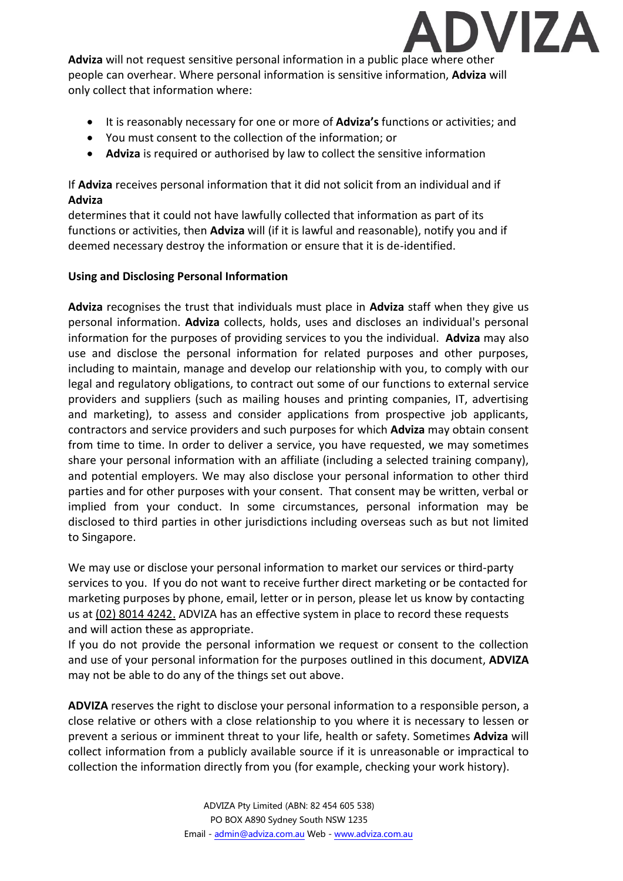

**Adviza** will not request sensitive personal information in a public place where other people can overhear. Where personal information is sensitive information, **Adviza** will only collect that information where:

- It is reasonably necessary for one or more of **Adviza's** functions or activities; and
- You must consent to the collection of the information; or
- **Adviza** is required or authorised by law to collect the sensitive information

# If **Adviza** receives personal information that it did not solicit from an individual and if **Adviza**

determines that it could not have lawfully collected that information as part of its functions or activities, then **Adviza** will (if it is lawful and reasonable), notify you and if deemed necessary destroy the information or ensure that it is de-identified.

# **Using and Disclosing Personal Information**

**Adviza** recognises the trust that individuals must place in **Adviza** staff when they give us personal information. **Adviza** collects, holds, uses and discloses an individual's personal information for the purposes of providing services to you the individual. **Adviza** may also use and disclose the personal information for related purposes and other purposes, including to maintain, manage and develop our relationship with you, to comply with our legal and regulatory obligations, to contract out some of our functions to external service providers and suppliers (such as mailing houses and printing companies, IT, advertising and marketing), to assess and consider applications from prospective job applicants, contractors and service providers and such purposes for which **Adviza** may obtain consent from time to time. In order to deliver a service, you have requested, we may sometimes share your personal information with an affiliate (including a selected training company), and potential employers. We may also disclose your personal information to other third parties and for other purposes with your consent. That consent may be written, verbal or implied from your conduct. In some circumstances, personal information may be disclosed to third parties in other jurisdictions including overseas such as but not limited to Singapore.

We may use or disclose your personal information to market our services or third-party services to you. If you do not want to receive further direct marketing or be contacted for marketing purposes by phone, email, letter or in person, please let us know by contacting us at (02) 8014 4242. ADVIZA has an effective system in place to record these requests and will action these as appropriate.

If you do not provide the personal information we request or consent to the collection and use of your personal information for the purposes outlined in this document, **ADVIZA** may not be able to do any of the things set out above.

**ADVIZA** reserves the right to disclose your personal information to a responsible person, a close relative or others with a close relationship to you where it is necessary to lessen or prevent a serious or imminent threat to your life, health or safety. Sometimes **Adviza** will collect information from a publicly available source if it is unreasonable or impractical to collection the information directly from you (for example, checking your work history).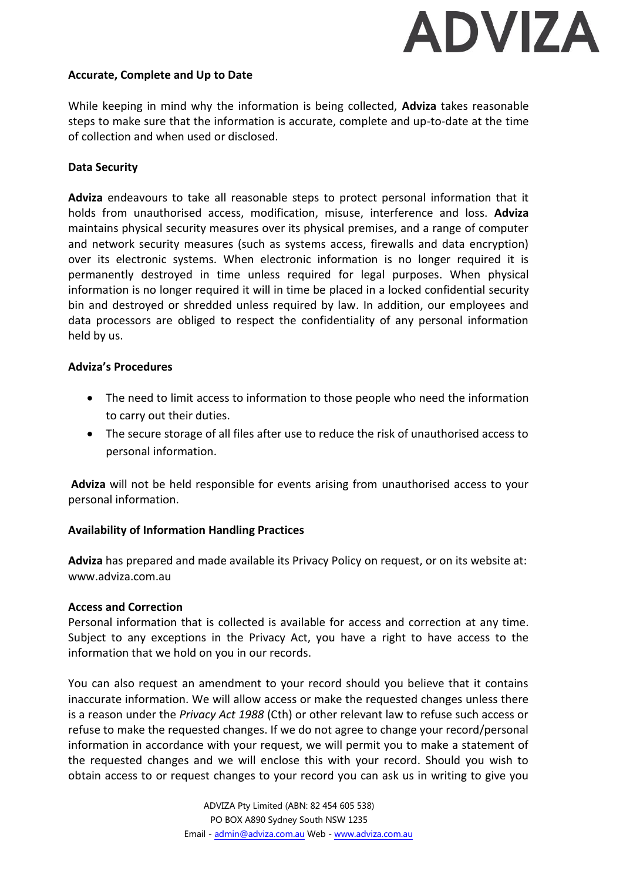# **ADVIZA**

#### **Accurate, Complete and Up to Date**

While keeping in mind why the information is being collected, **Adviza** takes reasonable steps to make sure that the information is accurate, complete and up-to-date at the time of collection and when used or disclosed.

#### **Data Security**

**Adviza** endeavours to take all reasonable steps to protect personal information that it holds from unauthorised access, modification, misuse, interference and loss. **Adviza** maintains physical security measures over its physical premises, and a range of computer and network security measures (such as systems access, firewalls and data encryption) over its electronic systems. When electronic information is no longer required it is permanently destroyed in time unless required for legal purposes. When physical information is no longer required it will in time be placed in a locked confidential security bin and destroyed or shredded unless required by law. In addition, our employees and data processors are obliged to respect the confidentiality of any personal information held by us.

#### **Adviza's Procedures**

- The need to limit access to information to those people who need the information to carry out their duties.
- The secure storage of all files after use to reduce the risk of unauthorised access to personal information.

**Adviza** will not be held responsible for events arising from unauthorised access to your personal information.

## **Availability of Information Handling Practices**

**Adviza** has prepared and made available its Privacy Policy on request, or on its website at: www.adviza.com.au

#### **Access and Correction**

Personal information that is collected is available for access and correction at any time. Subject to any exceptions in the Privacy Act, you have a right to have access to the information that we hold on you in our records.

You can also request an amendment to your record should you believe that it contains inaccurate information. We will allow access or make the requested changes unless there is a reason under the *Privacy Act 1988* (Cth) or other relevant law to refuse such access or refuse to make the requested changes. If we do not agree to change your record/personal information in accordance with your request, we will permit you to make a statement of the requested changes and we will enclose this with your record. Should you wish to obtain access to or request changes to your record you can ask us in writing to give you